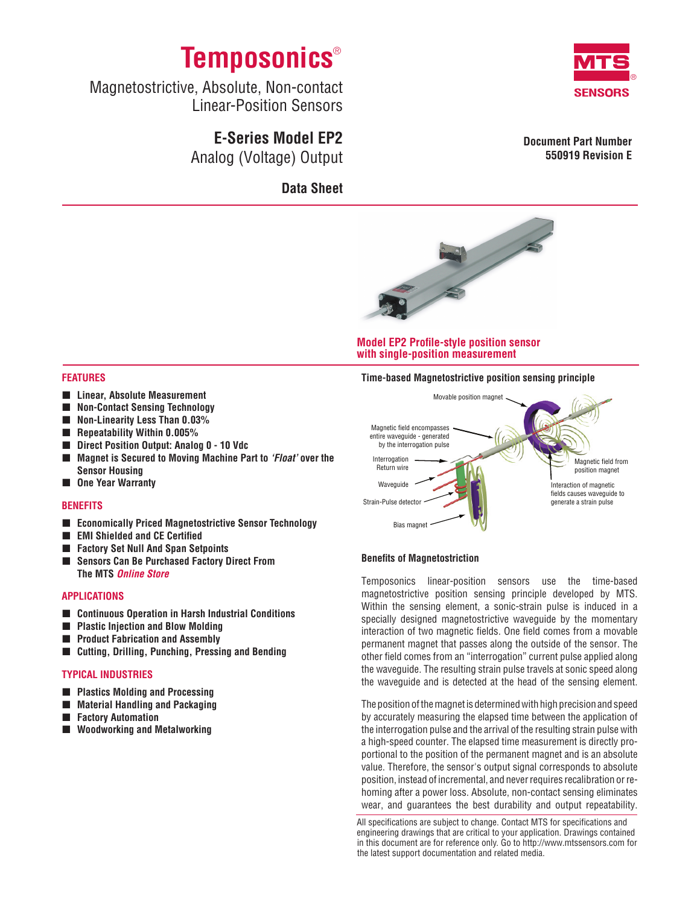

Magnetostrictive, Absolute, Non-contact Linear-Position Sensors

# **E-Series Model EP2** Analog (Voltage) Output

**Data Sheet**



**Document Part Number 550919 Revision E**



### **Model EP2 Profile-style position sensor with single-position measurement**

### **Features**

- **Linear, Absolute Measurement**
- **Non-Contact Sensing Technology**
- **Non-Linearity Less Than 0.03%**
- **Repeatability Within 0.005%**
- **Direct Position Output: Analog 0 10 Vdc**
- Magnet is Secured to Moving Machine Part to *'Float'* over the **Sensor Housing**
- One Year Warranty

### **Benefits**

- **Economically Priced Magnetostrictive Sensor Technology**
- **EMI** Shielded and CE Certified
- **Factory Set Null And Span Setpoints**
- **Sensors Can Be Purchased Factory Direct From The MTS** *Online Store*

### **APPLICATIONS**

- **Continuous Operation in Harsh Industrial Conditions**
- **Plastic Injection and Blow Molding**
- **Product Fabrication and Assembly**
- **Cutting, Drilling, Punching, Pressing and Bending**

### **Typical Industries**

- **Plastics Molding and Processing**
- **Material Handling and Packaging**
- **Factory Automation**
- **Woodworking and Metalworking**





### **Benefits of Magnetostriction**

Temposonics linear-position sensors use the time-based magnetostrictive position sensing principle developed by MTS. Within the sensing element, a sonic-strain pulse is induced in a specially designed magnetostrictive waveguide by the momentary interaction of two magnetic fields. One field comes from a movable permanent magnet that passes along the outside of the sensor. The other field comes from an "interrogation" current pulse applied along the waveguide. The resulting strain pulse travels at sonic speed along the waveguide and is detected at the head of the sensing element.

The position of the magnet is determined with high precision and speed by accurately measuring the elapsed time between the application of the interrogation pulse and the arrival of the resulting strain pulse with a high-speed counter. The elapsed time measurement is directly proportional to the position of the permanent magnet and is an absolute value. Therefore, the sensor's output signal corresponds to absolute position, instead of incremental, and never requires recalibration or rehoming after a power loss. Absolute, non-contact sensing eliminates wear, and guarantees the best durability and output repeatability.

All specifications are subject to change. Contact MTS for specifications and engineering drawings that are critical to your application. Drawings contained in this document are for reference only. Go to http://www.mtssensors.com for the latest support documentation and related media.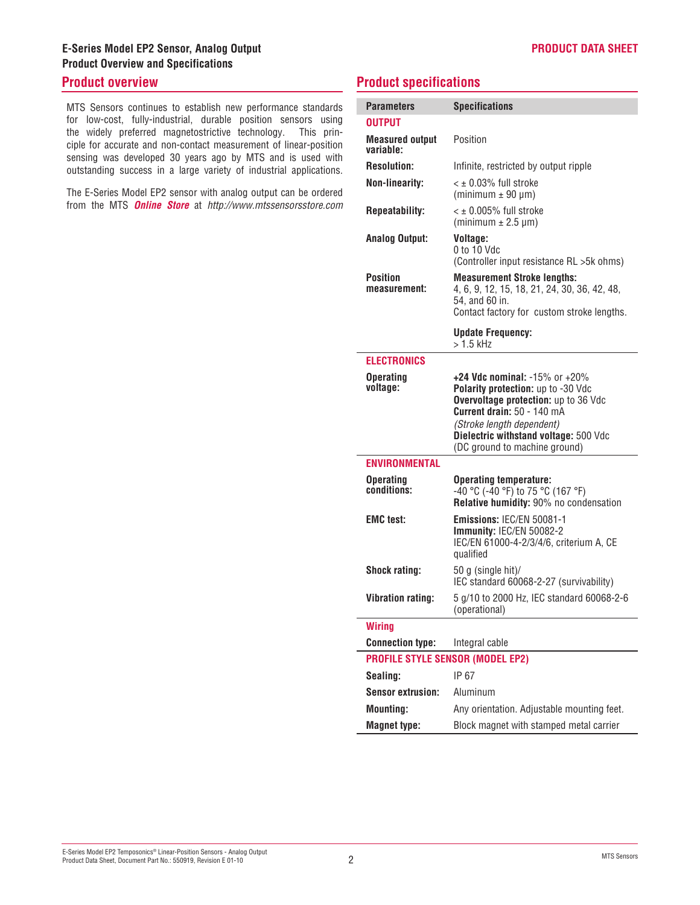# **E-Series Model EP2 Sensor, Analog Output Product Overview and Specifications**

## **Product overview**

MTS Sensors continues to establish new performance standards for low-cost, fully-industrial, durable position sensors using the widely preferred magnetostrictive technology. This principle for accurate and non-contact measurement of linear-position sensing was developed 30 years ago by MTS and is used with outstanding success in a large variety of industrial applications.

The E-Series Model EP2 sensor with analog output can be ordered from the MTS *Online Store* at *http://www.mtssensorsstore.com*

## **Product specifications**

| <b>Parameters</b>                       | <b>Specifications</b>                                                                                                                                                                                                                                  |  |
|-----------------------------------------|--------------------------------------------------------------------------------------------------------------------------------------------------------------------------------------------------------------------------------------------------------|--|
| <b>OUTPUT</b>                           |                                                                                                                                                                                                                                                        |  |
| <b>Measured output</b><br>variable:     | Position                                                                                                                                                                                                                                               |  |
| <b>Resolution:</b>                      | Infinite, restricted by output ripple                                                                                                                                                                                                                  |  |
| <b>Non-linearity:</b>                   | $<$ $\pm$ 0.03% full stroke<br>$(minimum \pm 90 \mu m)$                                                                                                                                                                                                |  |
| <b>Repeatability:</b>                   | $\leq$ ± 0.005% full stroke<br>(minimum $\pm$ 2.5 µm)                                                                                                                                                                                                  |  |
| <b>Analog Output:</b>                   | Voltage:<br>0 to 10 Vdc<br>(Controller input resistance RL > 5k ohms)                                                                                                                                                                                  |  |
| <b>Position</b><br>measurement:         | <b>Measurement Stroke lengths:</b><br>4, 6, 9, 12, 15, 18, 21, 24, 30, 36, 42, 48,<br>54, and 60 in.<br>Contact factory for custom stroke lengths.                                                                                                     |  |
|                                         | <b>Update Frequency:</b><br>$>1.5$ kHz                                                                                                                                                                                                                 |  |
| <b>ELECTRONICS</b>                      |                                                                                                                                                                                                                                                        |  |
| <b>Operating</b><br>voltage:            | +24 Vdc nominal: $-15\%$ or $+20\%$<br>Polarity protection: up to -30 Vdc<br>Overvoltage protection: up to 36 Vdc<br>Current drain: 50 - 140 mA<br>(Stroke length dependent)<br>Dielectric withstand voltage: 500 Vdc<br>(DC ground to machine ground) |  |
| <b>ENVIRONMENTAL</b>                    |                                                                                                                                                                                                                                                        |  |
| <b>Operating</b><br>conditions:         | <b>Operating temperature:</b><br>-40 °C (-40 °F) to 75 °C (167 °F)<br>Relative humidity: 90% no condensation                                                                                                                                           |  |
| <b>EMC</b> test:                        | Emissions: IEC/EN 50081-1<br>Immunity: IEC/EN 50082-2<br>IEC/EN 61000-4-2/3/4/6, criterium A, CE<br>qualified                                                                                                                                          |  |
| <b>Shock rating:</b>                    | 50 g (single hit)/<br>IEC standard 60068-2-27 (survivability)                                                                                                                                                                                          |  |
| <b>Vibration rating:</b>                | 5 g/10 to 2000 Hz, IEC standard 60068-2-6<br>(operational)                                                                                                                                                                                             |  |
| <b>Wiring</b>                           |                                                                                                                                                                                                                                                        |  |
| <b>Connection type:</b>                 | Integral cable                                                                                                                                                                                                                                         |  |
| <b>PROFILE STYLE SENSOR (MODEL EP2)</b> |                                                                                                                                                                                                                                                        |  |
| Sealing:                                | IP 67                                                                                                                                                                                                                                                  |  |
| <b>Sensor extrusion:</b>                | Aluminum                                                                                                                                                                                                                                               |  |
| <b>Mounting:</b>                        | Any orientation. Adjustable mounting feet.                                                                                                                                                                                                             |  |
| <b>Magnet type:</b>                     | Block magnet with stamped metal carrier                                                                                                                                                                                                                |  |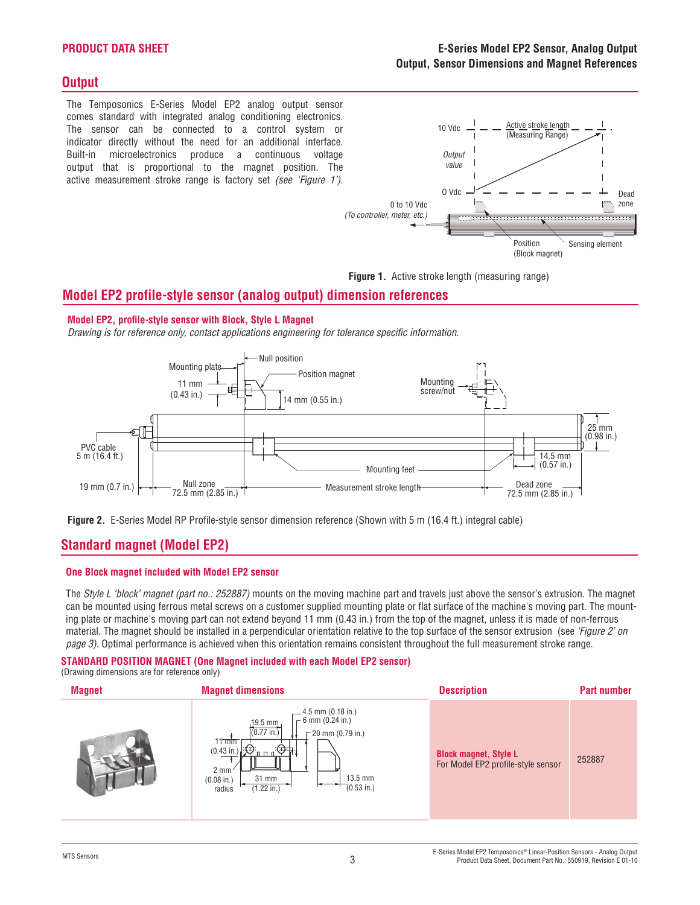### **Product Data Sheet**

## **Output**

The Temposonics E-Series Model EP2 analog output sensor comes standard with integrated analog conditioning electronics. The sensor can be connected to a control system or indicator directly without the need for an additional interface. Built-in microelectronics produce a continuous voltage output that is proportional to the magnet position. The active measurement stroke range is factory set *(see 'Figure 1')*.



**Figure 1.** Active stroke length (measuring range)

## **Model EP2 profile-style sensor (analog output) dimension references**

### **Model EP2, profile-style sensor with Block, Style L Magnet**

*Drawing is for reference only, contact applications engineering for tolerance specific information.*





## **Standard magnet (Model EP2)**

### **One Block magnet included with Model EP2 sensor**

The *Style L 'block' magnet (part no.: 252887)* mounts on the moving machine part and travels just above the sensor's extrusion. The magnet can be mounted using ferrous metal screws on a customer supplied mounting plate or flat surface of the machine's moving part. The mounting plate or machine's moving part can not extend beyond 11 mm (0.43 in.) from the top of the magnet, unless it is made of non-ferrous material. The magnet should be installed in a perpendicular orientation relative to the top surface of the sensor extrusion (see *'Figure 2' on page 3)*. Optimal performance is achieved when this orientation remains consistent throughout the full measurement stroke range.

# **STANDARD POSITION MAGNET (One Magnet included with each Model EP2 sensor)**

(Drawing dimensions are for reference only)

| <b>Magnet</b> | <b>Magnet dimensions</b>                                                                                                                                                                                                                                                          | <b>Description</b>                                                 | <b>Part number</b> |
|---------------|-----------------------------------------------------------------------------------------------------------------------------------------------------------------------------------------------------------------------------------------------------------------------------------|--------------------------------------------------------------------|--------------------|
|               | 4.5 mm (0.18 in.)<br>$-6$ mm (0.24 in.)<br>$19.5$ mm<br>$(0.77 \text{ in.})$<br>$-20$ mm (0.79 in.)<br>$11 \,\mathrm{mm}$<br>$(0.43 \text{ in.})$<br>モチリ<br>'nп<br>$2 \, \text{mm}$<br>$13.5$ mm<br>31 mm<br>$(0.08 \text{ in.})$<br>$(0.53 \text{ in.})$<br>(1.22 in.)<br>radius | <b>Block magnet, Style L</b><br>For Model EP2 profile-style sensor | 252887             |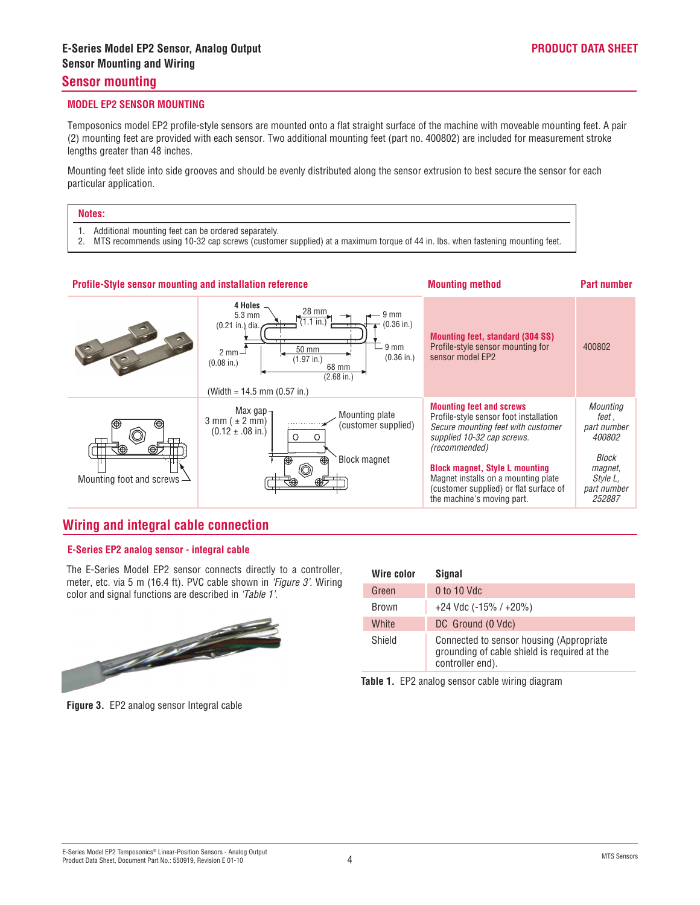### **Sensor mounting**

### **MODEL EP2 SENSOR MOUNTING**

Temposonics model EP2 profile-style sensors are mounted onto a flat straight surface of the machine with moveable mounting feet. A pair (2) mounting feet are provided with each sensor. Two additional mounting feet (part no. 400802) are included for measurement stroke lengths greater than 48 inches.

Mounting feet slide into side grooves and should be evenly distributed along the sensor extrusion to best secure the sensor for each particular application.

| Notes: |                                                                                                                                                                                      |  |
|--------|--------------------------------------------------------------------------------------------------------------------------------------------------------------------------------------|--|
|        | Additional mounting feet can be ordered separately.<br>2. MTS recommends using 10-32 cap screws (customer supplied) at a maximum torque of 44 in. Ibs. when fastening mounting feet. |  |



## **Wiring and integral cable connection**

### **E-Series EP2 analog sensor - integral cable**

The E-Series Model EP2 sensor connects directly to a controller, meter, etc. via 5 m (16.4 ft). PVC cable shown in *'Figure 3'*. Wiring color and signal functions are described in *'Table 1'*.



| Wire color   | Signal                                                                                                        |
|--------------|---------------------------------------------------------------------------------------------------------------|
| Green        | $0$ to 10 Vdc                                                                                                 |
| <b>Brown</b> | $+24$ Vdc (-15% / $+20%$ )                                                                                    |
| White        | DC Ground (0 Vdc)                                                                                             |
| Shield       | Connected to sensor housing (Appropriate)<br>grounding of cable shield is required at the<br>controller end). |
|              |                                                                                                               |

**Table 1.** EP2 analog sensor cable wiring diagram

**Figure 3.** EP2 analog sensor Integral cable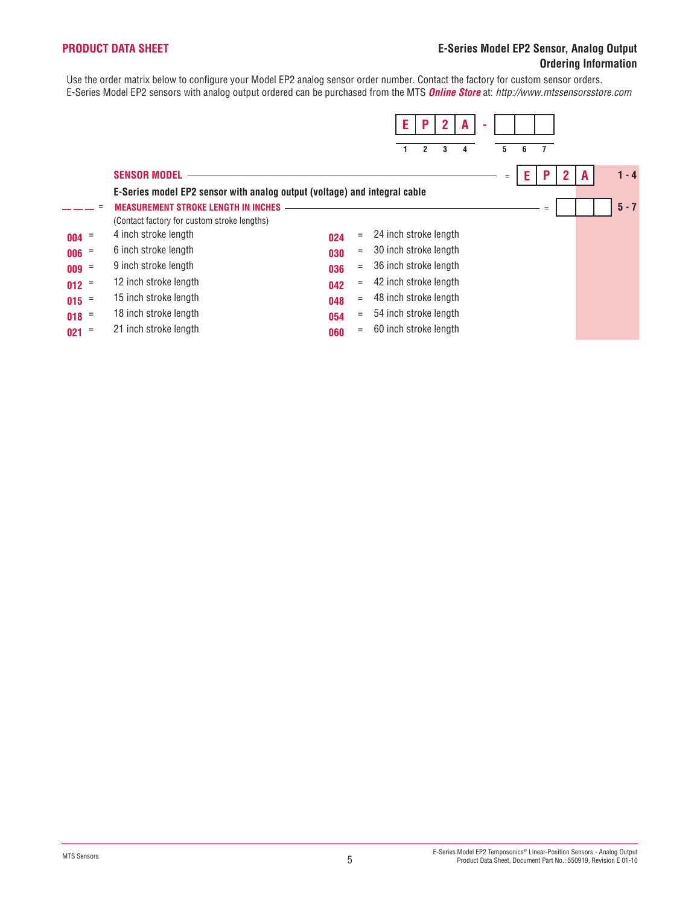### **Product Data Sheet**

### **E-Series Model EP2 Sensor, Analog Output Ordering Information**

Use the order matrix below to configure your Model EP2 analog sensor order number. Contact the factory for custom sensor orders. E-Series Model EP2 sensors with analog output ordered can be purchased from the MTS *Online Store* at: *http://www.mtssensorsstore.com*